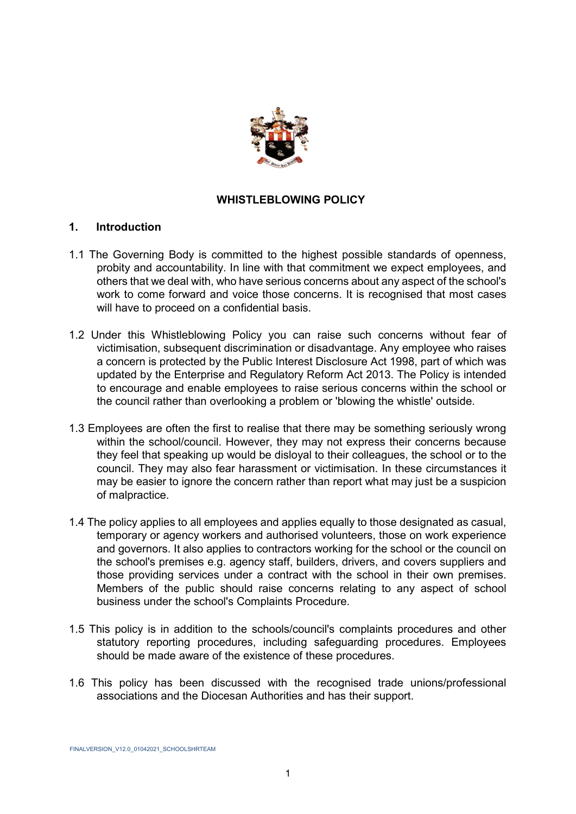

#### **WHISTLEBLOWING POLICY**

#### **1. Introduction**

- 1.1 The Governing Body is committed to the highest possible standards of openness, probity and accountability. In line with that commitment we expect employees, and others that we deal with, who have serious concerns about any aspect of the school's work to come forward and voice those concerns. It is recognised that most cases will have to proceed on a confidential basis.
- 1.2 Under this Whistleblowing Policy you can raise such concerns without fear of victimisation, subsequent discrimination or disadvantage. Any employee who raises a concern is protected by the Public Interest Disclosure Act 1998, part of which was updated by the Enterprise and Regulatory Reform Act 2013. The Policy is intended to encourage and enable employees to raise serious concerns within the school or the council rather than overlooking a problem or 'blowing the whistle' outside.
- 1.3 Employees are often the first to realise that there may be something seriously wrong within the school/council. However, they may not express their concerns because they feel that speaking up would be disloyal to their colleagues, the school or to the council. They may also fear harassment or victimisation. In these circumstances it may be easier to ignore the concern rather than report what may just be a suspicion of malpractice.
- 1.4 The policy applies to all employees and applies equally to those designated as casual, temporary or agency workers and authorised volunteers, those on work experience and governors. It also applies to contractors working for the school or the council on the school's premises e.g. agency staff, builders, drivers, and covers suppliers and those providing services under a contract with the school in their own premises. Members of the public should raise concerns relating to any aspect of school business under the school's Complaints Procedure.
- 1.5 This policy is in addition to the schools/council's complaints procedures and other statutory reporting procedures, including safeguarding procedures. Employees should be made aware of the existence of these procedures.
- 1.6 This policy has been discussed with the recognised trade unions/professional associations and the Diocesan Authorities and has their support.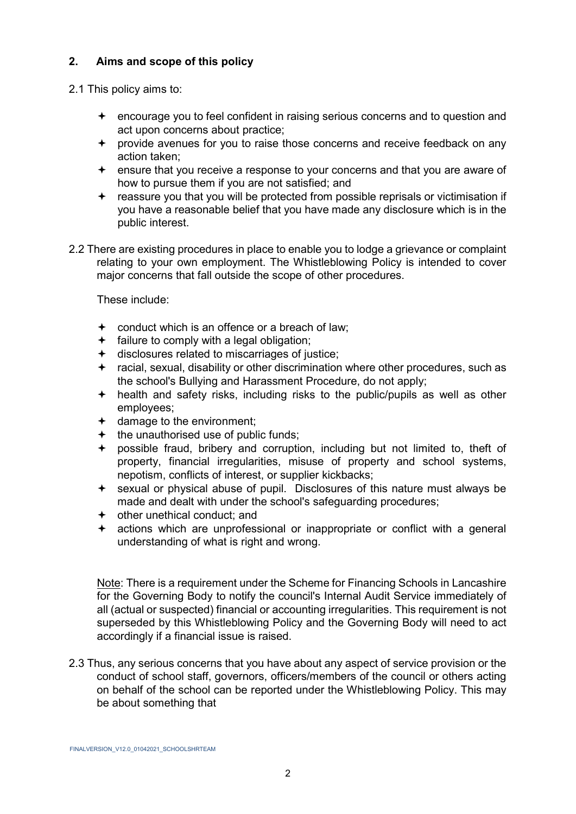## **2. Aims and scope of this policy**

2.1 This policy aims to:

- encourage you to feel confident in raising serious concerns and to question and act upon concerns about practice;
- provide avenues for you to raise those concerns and receive feedback on any action taken;
- ensure that you receive a response to your concerns and that you are aware of how to pursue them if you are not satisfied; and
- reassure you that you will be protected from possible reprisals or victimisation if you have a reasonable belief that you have made any disclosure which is in the public interest.
- 2.2 There are existing procedures in place to enable you to lodge a grievance or complaint relating to your own employment. The Whistleblowing Policy is intended to cover major concerns that fall outside the scope of other procedures.

These include:

- conduct which is an offence or a breach of law;
- $\div$  failure to comply with a legal obligation;
- disclosures related to miscarriages of justice;
- racial, sexual, disability or other discrimination where other procedures, such as the school's Bullying and Harassment Procedure, do not apply;
- $+$  health and safety risks, including risks to the public/pupils as well as other employees;
- $\div$  damage to the environment;
- $+$  the unauthorised use of public funds;
- possible fraud, bribery and corruption, including but not limited to, theft of property, financial irregularities, misuse of property and school systems, nepotism, conflicts of interest, or supplier kickbacks;
- sexual or physical abuse of pupil. Disclosures of this nature must always be made and dealt with under the school's safeguarding procedures;
- other unethical conduct; and
- actions which are unprofessional or inappropriate or conflict with a general understanding of what is right and wrong.

Note: There is a requirement under the Scheme for Financing Schools in Lancashire for the Governing Body to notify the council's Internal Audit Service immediately of all (actual or suspected) financial or accounting irregularities. This requirement is not superseded by this Whistleblowing Policy and the Governing Body will need to act accordingly if a financial issue is raised.

2.3 Thus, any serious concerns that you have about any aspect of service provision or the conduct of school staff, governors, officers/members of the council or others acting on behalf of the school can be reported under the Whistleblowing Policy. This may be about something that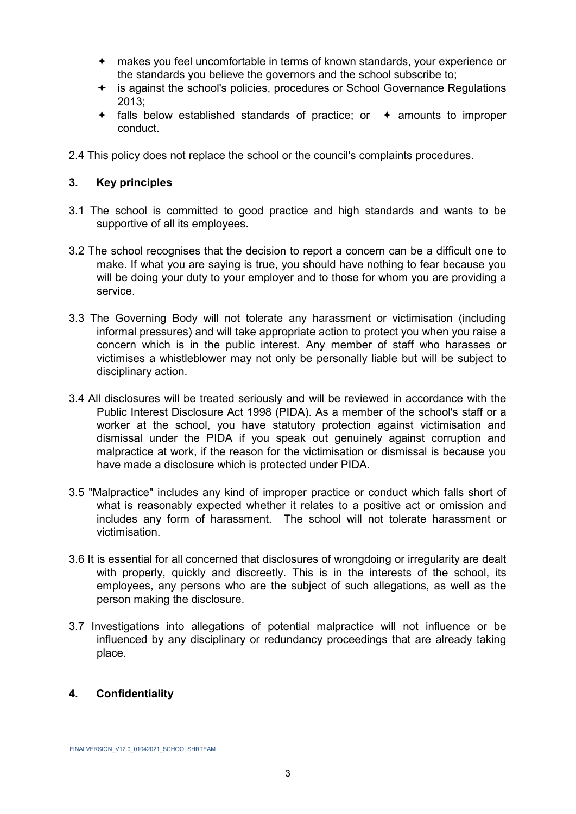- makes you feel uncomfortable in terms of known standards, your experience or the standards you believe the governors and the school subscribe to;
- is against the school's policies, procedures or School Governance Regulations 2013;
- $\div$  falls below established standards of practice; or  $\div$  amounts to improper conduct.
- 2.4 This policy does not replace the school or the council's complaints procedures.

#### **3. Key principles**

- 3.1 The school is committed to good practice and high standards and wants to be supportive of all its employees.
- 3.2 The school recognises that the decision to report a concern can be a difficult one to make. If what you are saying is true, you should have nothing to fear because you will be doing your duty to your employer and to those for whom you are providing a service.
- 3.3 The Governing Body will not tolerate any harassment or victimisation (including informal pressures) and will take appropriate action to protect you when you raise a concern which is in the public interest. Any member of staff who harasses or victimises a whistleblower may not only be personally liable but will be subject to disciplinary action.
- 3.4 All disclosures will be treated seriously and will be reviewed in accordance with the Public Interest Disclosure Act 1998 (PIDA). As a member of the school's staff or a worker at the school, you have statutory protection against victimisation and dismissal under the PIDA if you speak out genuinely against corruption and malpractice at work, if the reason for the victimisation or dismissal is because you have made a disclosure which is protected under PIDA.
- 3.5 "Malpractice" includes any kind of improper practice or conduct which falls short of what is reasonably expected whether it relates to a positive act or omission and includes any form of harassment. The school will not tolerate harassment or victimisation.
- 3.6 It is essential for all concerned that disclosures of wrongdoing or irregularity are dealt with properly, quickly and discreetly. This is in the interests of the school, its employees, any persons who are the subject of such allegations, as well as the person making the disclosure.
- 3.7 Investigations into allegations of potential malpractice will not influence or be influenced by any disciplinary or redundancy proceedings that are already taking place.

### **4. Confidentiality**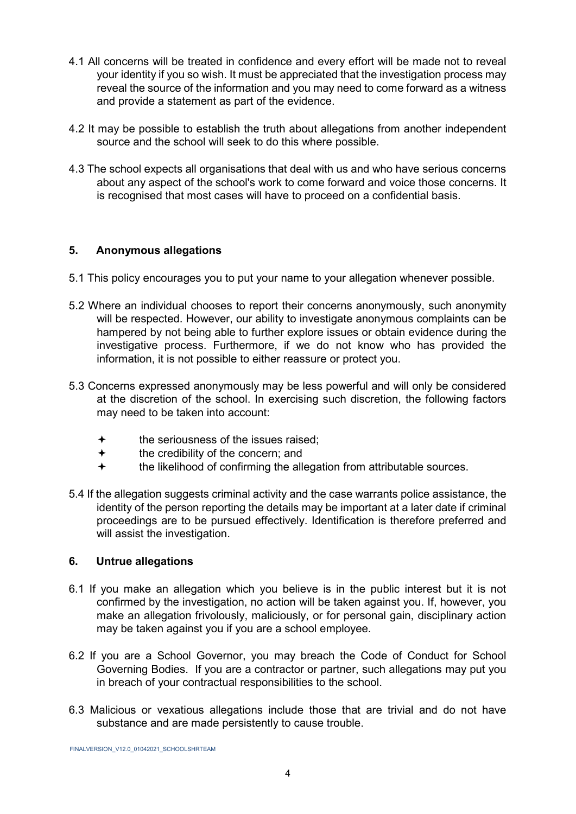- 4.1 All concerns will be treated in confidence and every effort will be made not to reveal your identity if you so wish. It must be appreciated that the investigation process may reveal the source of the information and you may need to come forward as a witness and provide a statement as part of the evidence.
- 4.2 It may be possible to establish the truth about allegations from another independent source and the school will seek to do this where possible.
- 4.3 The school expects all organisations that deal with us and who have serious concerns about any aspect of the school's work to come forward and voice those concerns. It is recognised that most cases will have to proceed on a confidential basis.

### **5. Anonymous allegations**

- 5.1 This policy encourages you to put your name to your allegation whenever possible.
- 5.2 Where an individual chooses to report their concerns anonymously, such anonymity will be respected. However, our ability to investigate anonymous complaints can be hampered by not being able to further explore issues or obtain evidence during the investigative process. Furthermore, if we do not know who has provided the information, it is not possible to either reassure or protect you.
- 5.3 Concerns expressed anonymously may be less powerful and will only be considered at the discretion of the school. In exercising such discretion, the following factors may need to be taken into account:
	- $\bigstar$  the seriousness of the issues raised:
	- $\div$  the credibility of the concern; and
	- the likelihood of confirming the allegation from attributable sources.
- 5.4 If the allegation suggests criminal activity and the case warrants police assistance, the identity of the person reporting the details may be important at a later date if criminal proceedings are to be pursued effectively. Identification is therefore preferred and will assist the investigation.

### **6. Untrue allegations**

- 6.1 If you make an allegation which you believe is in the public interest but it is not confirmed by the investigation, no action will be taken against you. If, however, you make an allegation frivolously, maliciously, or for personal gain, disciplinary action may be taken against you if you are a school employee.
- 6.2 If you are a School Governor, you may breach the Code of Conduct for School Governing Bodies. If you are a contractor or partner, such allegations may put you in breach of your contractual responsibilities to the school.
- 6.3 Malicious or vexatious allegations include those that are trivial and do not have substance and are made persistently to cause trouble.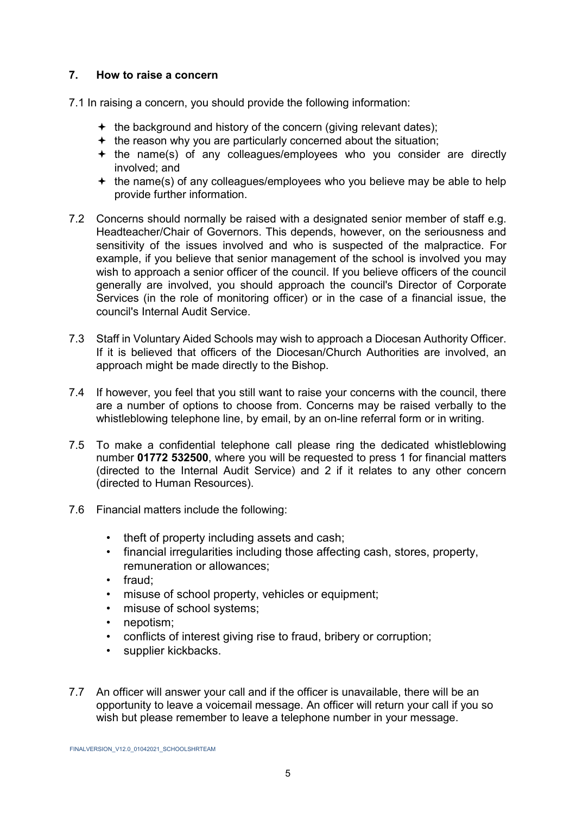### **7. How to raise a concern**

7.1 In raising a concern, you should provide the following information:

- $\div$  the background and history of the concern (giving relevant dates);
- $+$  the reason why you are particularly concerned about the situation;
- $+$  the name(s) of any colleagues/employees who you consider are directly involved; and
- $+$  the name(s) of any colleagues/employees who you believe may be able to help provide further information.
- 7.2 Concerns should normally be raised with a designated senior member of staff e.g. Headteacher/Chair of Governors. This depends, however, on the seriousness and sensitivity of the issues involved and who is suspected of the malpractice. For example, if you believe that senior management of the school is involved you may wish to approach a senior officer of the council. If you believe officers of the council generally are involved, you should approach the council's Director of Corporate Services (in the role of monitoring officer) or in the case of a financial issue, the council's Internal Audit Service.
- 7.3 Staff in Voluntary Aided Schools may wish to approach a Diocesan Authority Officer. If it is believed that officers of the Diocesan/Church Authorities are involved, an approach might be made directly to the Bishop.
- 7.4 If however, you feel that you still want to raise your concerns with the council, there are a number of options to choose from. Concerns may be raised verbally to the whistleblowing telephone line, by email, by an on-line referral form or in writing.
- 7.5 To make a confidential telephone call please ring the dedicated whistleblowing number **01772 532500**, where you will be requested to press 1 for financial matters (directed to the Internal Audit Service) and 2 if it relates to any other concern (directed to Human Resources).
- 7.6 Financial matters include the following:
	- theft of property including assets and cash;
	- financial irregularities including those affecting cash, stores, property, remuneration or allowances;
	- fraud;
	- misuse of school property, vehicles or equipment;
	- misuse of school systems;
	- nepotism:
	- conflicts of interest giving rise to fraud, bribery or corruption;
	- supplier kickbacks.
- 7.7 An officer will answer your call and if the officer is unavailable, there will be an opportunity to leave a voicemail message. An officer will return your call if you so wish but please remember to leave a telephone number in your message.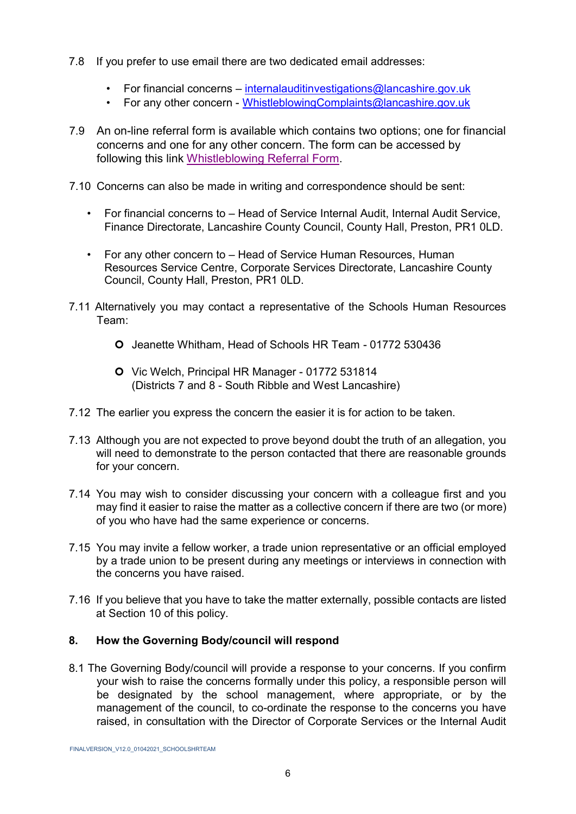- 7.8 If you prefer to use email there are two dedicated email addresses:
	- For financial concerns internalauditinvestigations@lancashire.gov.uk
	- For any other concern WhistleblowingComplaints@lancashire.gov.uk
- 7.9 An on-line referral form is available which contains two options; one for financial concerns and one for any other concern. The form can be accessed by following this link [Whistleblowing Referral Form.](https://lancashire-self.achieveservice.com/service/Whistle_Blowing_Referral)
- 7.10 Concerns can also be made in writing and correspondence should be sent:
	- For financial concerns to Head of Service Internal Audit, Internal Audit Service, Finance Directorate, Lancashire County Council, County Hall, Preston, PR1 0LD.
	- For any other concern to Head of Service Human Resources, Human Resources Service Centre, Corporate Services Directorate, Lancashire County Council, County Hall, Preston, PR1 0LD.
- 7.11 Alternatively you may contact a representative of the Schools Human Resources Team:
	- Jeanette Whitham, Head of Schools HR Team 01772 530436
	- Vic Welch, Principal HR Manager 01772 531814 (Districts 7 and 8 - South Ribble and West Lancashire)
- 7.12 The earlier you express the concern the easier it is for action to be taken.
- 7.13 Although you are not expected to prove beyond doubt the truth of an allegation, you will need to demonstrate to the person contacted that there are reasonable grounds for your concern.
- 7.14 You may wish to consider discussing your concern with a colleague first and you may find it easier to raise the matter as a collective concern if there are two (or more) of you who have had the same experience or concerns.
- 7.15 You may invite a fellow worker, a trade union representative or an official employed by a trade union to be present during any meetings or interviews in connection with the concerns you have raised.
- 7.16 If you believe that you have to take the matter externally, possible contacts are listed at Section 10 of this policy.

## **8. How the Governing Body/council will respond**

8.1 The Governing Body/council will provide a response to your concerns. If you confirm your wish to raise the concerns formally under this policy, a responsible person will be designated by the school management, where appropriate, or by the management of the council, to co-ordinate the response to the concerns you have raised, in consultation with the Director of Corporate Services or the Internal Audit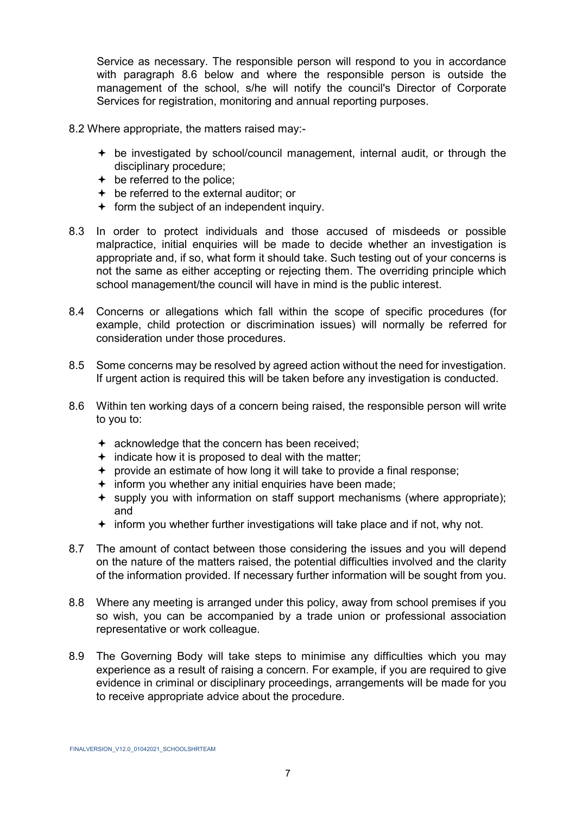Service as necessary. The responsible person will respond to you in accordance with paragraph 8.6 below and where the responsible person is outside the management of the school, s/he will notify the council's Director of Corporate Services for registration, monitoring and annual reporting purposes.

- 8.2 Where appropriate, the matters raised may:
	- be investigated by school/council management, internal audit, or through the disciplinary procedure;
	- $\div$  be referred to the police:
	- be referred to the external auditor; or
	- $\div$  form the subject of an independent inquiry.
- 8.3 In order to protect individuals and those accused of misdeeds or possible malpractice, initial enquiries will be made to decide whether an investigation is appropriate and, if so, what form it should take. Such testing out of your concerns is not the same as either accepting or rejecting them. The overriding principle which school management/the council will have in mind is the public interest.
- 8.4 Concerns or allegations which fall within the scope of specific procedures (for example, child protection or discrimination issues) will normally be referred for consideration under those procedures.
- 8.5 Some concerns may be resolved by agreed action without the need for investigation. If urgent action is required this will be taken before any investigation is conducted.
- 8.6 Within ten working days of a concern being raised, the responsible person will write to you to:
	- $\div$  acknowledge that the concern has been received;
	- $\div$  indicate how it is proposed to deal with the matter;
	- provide an estimate of how long it will take to provide a final response;
	- $\div$  inform you whether any initial enquiries have been made;
	- $\div$  supply you with information on staff support mechanisms (where appropriate); and
	- $\div$  inform you whether further investigations will take place and if not, why not.
- 8.7 The amount of contact between those considering the issues and you will depend on the nature of the matters raised, the potential difficulties involved and the clarity of the information provided. If necessary further information will be sought from you.
- 8.8 Where any meeting is arranged under this policy, away from school premises if you so wish, you can be accompanied by a trade union or professional association representative or work colleague.
- 8.9 The Governing Body will take steps to minimise any difficulties which you may experience as a result of raising a concern. For example, if you are required to give evidence in criminal or disciplinary proceedings, arrangements will be made for you to receive appropriate advice about the procedure.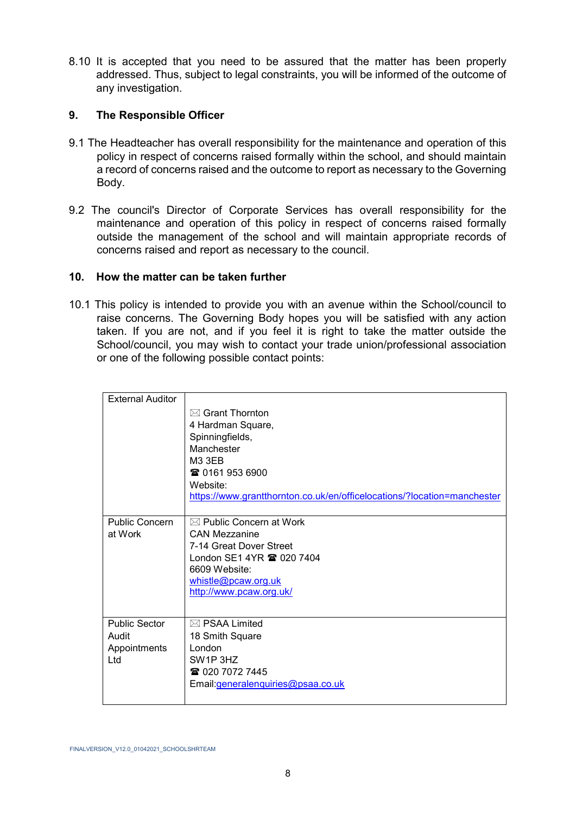8.10 It is accepted that you need to be assured that the matter has been properly addressed. Thus, subject to legal constraints, you will be informed of the outcome of any investigation.

### **9. The Responsible Officer**

- 9.1 The Headteacher has overall responsibility for the maintenance and operation of this policy in respect of concerns raised formally within the school, and should maintain a record of concerns raised and the outcome to report as necessary to the Governing Body.
- 9.2 The council's Director of Corporate Services has overall responsibility for the maintenance and operation of this policy in respect of concerns raised formally outside the management of the school and will maintain appropriate records of concerns raised and report as necessary to the council.

#### **10. How the matter can be taken further**

10.1 This policy is intended to provide you with an avenue within the School/council to raise concerns. The Governing Body hopes you will be satisfied with any action taken. If you are not, and if you feel it is right to take the matter outside the School/council, you may wish to contact your trade union/professional association or one of the following possible contact points:

| <b>External Auditor</b> |                                                                         |
|-------------------------|-------------------------------------------------------------------------|
|                         | $\boxtimes$ Grant Thornton                                              |
|                         | 4 Hardman Square,                                                       |
|                         | Spinningfields,                                                         |
|                         | Manchester                                                              |
|                         | <b>M3 3EB</b>                                                           |
|                         | ☎ 0161 953 6900                                                         |
|                         | Website:                                                                |
|                         | https://www.grantthornton.co.uk/en/officelocations/?location=manchester |
|                         |                                                                         |
| <b>Public Concern</b>   | $\boxtimes$ Public Concern at Work                                      |
| at Work                 | <b>CAN Mezzanine</b>                                                    |
|                         | 7-14 Great Dover Street                                                 |
|                         | London SE1 4YR <b>@ 020 7404</b>                                        |
|                         | 6609 Website:                                                           |
|                         | whistle@pcaw.org.uk                                                     |
|                         | http://www.pcaw.org.uk/                                                 |
|                         |                                                                         |
| <b>Public Sector</b>    | $\boxtimes$ PSAA Limited                                                |
| Audit                   | 18 Smith Square                                                         |
| Appointments            | London                                                                  |
| Ltd                     | SW <sub>1</sub> P 3H <sub>Z</sub>                                       |
|                         | ☎ 020 7072 7445                                                         |
|                         | Email: generalenquiries@psaa.co.uk                                      |
|                         |                                                                         |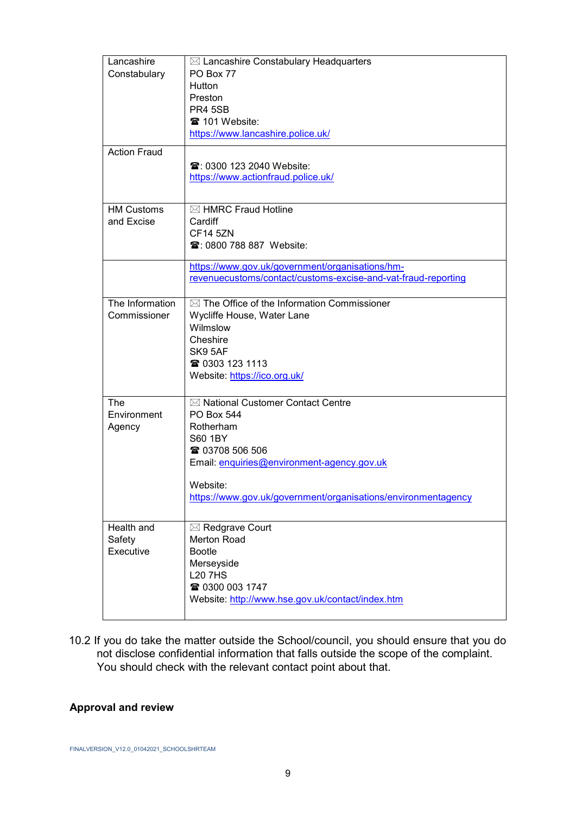| Lancashire<br>Constabulary        | $\boxtimes$ Lancashire Constabulary Headquarters<br>PO Box 77<br>Hutton<br>Preston<br><b>PR4 5SB</b><br><b>■ 101 Website:</b><br>https://www.lancashire.police.uk/                                                            |  |
|-----------------------------------|-------------------------------------------------------------------------------------------------------------------------------------------------------------------------------------------------------------------------------|--|
| <b>Action Fraud</b>               | <b>雪: 0300 123 2040 Website:</b><br>https://www.actionfraud.police.uk/                                                                                                                                                        |  |
| <b>HM Customs</b><br>and Excise   | ⊠ HMRC Fraud Hotline<br>Cardiff<br><b>CF14 5ZN</b><br><b>雪: 0800 788 887 Website:</b>                                                                                                                                         |  |
|                                   | https://www.gov.uk/government/organisations/hm-<br>revenuecustoms/contact/customs-excise-and-vat-fraud-reporting                                                                                                              |  |
| The Information<br>Commissioner   | $\boxtimes$ The Office of the Information Commissioner<br>Wycliffe House, Water Lane<br>Wilmslow<br>Cheshire<br>SK9 5AF<br>☎ 0303 123 1113<br>Website: https://ico.org.uk/                                                    |  |
| The<br>Environment<br>Agency      | ⊠ National Customer Contact Centre<br><b>PO Box 544</b><br>Rotherham<br>S60 1BY<br>☎ 03708 506 506<br>Email: enquiries@environment-agency.gov.uk<br>Website:<br>https://www.gov.uk/government/organisations/environmentagency |  |
| Health and<br>Safety<br>Executive | ⊠ Redgrave Court<br><b>Merton Road</b><br><b>Bootle</b><br>Merseyside<br><b>L20 7HS</b><br>☎ 0300 003 1747<br>Website: http://www.hse.gov.uk/contact/index.htm                                                                |  |

10.2 If you do take the matter outside the School/council, you should ensure that you do not disclose confidential information that falls outside the scope of the complaint. You should check with the relevant contact point about that.

# **Approval and review**